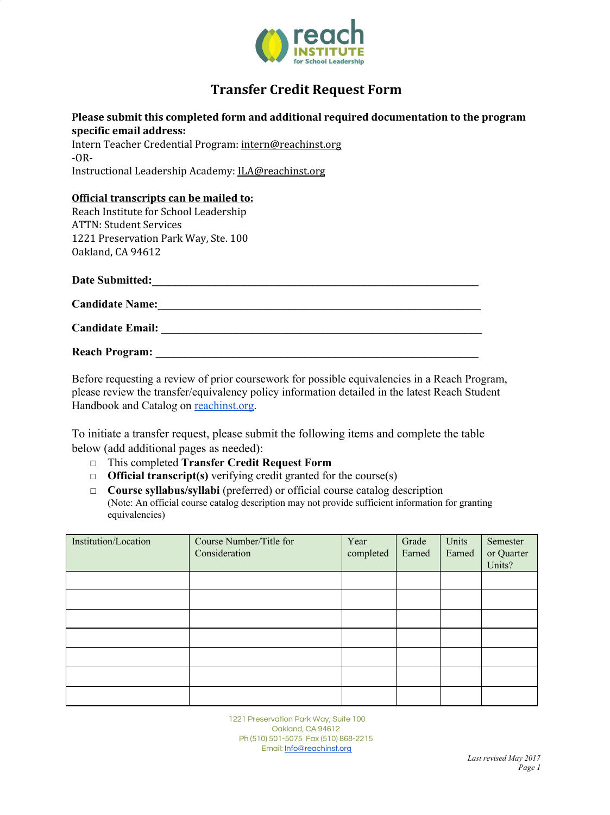

## **Transfer Credit Request Form**

## **Please submit this completed form and additional required documentation to the program specific email address:**

Intern Teacher Credential Program: [intern@reachinst.org](mailto:intern@reachinst.org)  $-OR-$ Instructional Leadership Academy: [ILA@reachinst.org](mailto:ILA@reachinst.org)

## **Official transcripts can be mailed to:**

Reach Institute for School Leadership ATTN: Student Services 1221 Preservation Park Way, Ste. 100 Oakland, CA 94612

**Date Submitted:\_\_\_\_\_\_\_\_\_\_\_\_\_\_\_\_\_\_\_\_\_\_\_\_\_\_\_\_\_\_\_\_\_\_\_\_\_\_\_\_\_\_\_\_\_\_\_\_\_\_\_\_\_\_\_\_\_**

**Candidate Name:\_\_\_\_\_\_\_\_\_\_\_\_\_\_\_\_\_\_\_\_\_\_\_\_\_\_\_\_\_\_\_\_\_\_\_\_\_\_\_\_\_\_\_\_\_\_\_\_\_\_\_\_\_\_**

**Candidate Email: \_\_\_\_\_\_\_\_\_\_\_\_\_\_\_\_\_\_\_\_\_\_\_\_\_\_\_\_\_\_\_\_\_\_\_\_\_\_\_\_\_\_\_\_\_\_\_\_\_\_\_\_\_\_\_\_**

**Reach Program:** 

Before requesting a review of prior coursework for possible equivalencies in a Reach Program, please review the transfer/equivalency policy information detailed in the latest Reach Student Handbook and Catalog on [reachinst.org.](http://www.reachinst.org/prospective-students/student-handbook-and-catalog/)

To initiate a transfer request, please submit the following items and complete the table below (add additional pages as needed):

- □ This completed **Transfer Credit Request Form**
- □ **Official transcript(s)** verifying credit granted for the course(s)
- □ **Course syllabus/syllabi** (preferred) or official course catalog description (Note: An official course catalog description may not provide sufficient information for granting equivalencies)

| Institution/Location | Course Number/Title for<br>Consideration | Year<br>completed | Grade<br>Earned | Units<br>Earned | Semester<br>or Quarter<br>Units? |
|----------------------|------------------------------------------|-------------------|-----------------|-----------------|----------------------------------|
|                      |                                          |                   |                 |                 |                                  |
|                      |                                          |                   |                 |                 |                                  |
|                      |                                          |                   |                 |                 |                                  |
|                      |                                          |                   |                 |                 |                                  |
|                      |                                          |                   |                 |                 |                                  |
|                      |                                          |                   |                 |                 |                                  |
|                      |                                          |                   |                 |                 |                                  |

1221 Preservation Park Way, Suite 100 Oakland, CA 94612 Ph (510) 501-5075 Fax (510) 868-2215 Email: [Info@reachinst.org](mailto:Info@reachinst.org)